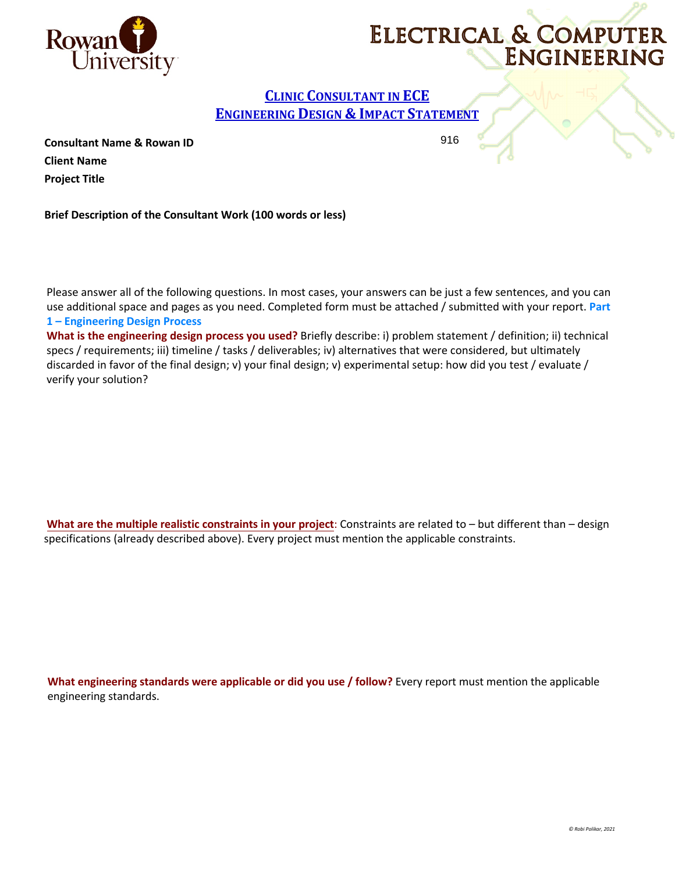



## **CLINIC CONSULTANT IN ECE ENGINEERING DESIGN & IMPACT STATEMENT**

916

**Consultant Name & Rowan ID Client Name Project Title** 

**Brief Description of the Consultant Work (100 words or less)**

Please answer all of the following questions. In most cases, your answers can be just a few sentences, and you can use additional space and pages as you need. Completed form must be attached / submitted with your report. **Part 1 – Engineering Design Process** 

**What is the engineering design process you used?** Briefly describe: i) problem statement / definition; ii) technical specs / requirements; iii) timeline / tasks / deliverables; iv) alternatives that were considered, but ultimately discarded in favor of the final design; v) your final design; v) experimental setup: how did you test / evaluate / verify your solution?

**What are the multiple realistic constraints in your project**: Constraints are related to – but different than – design specifications (already described above). Every project must mention the applicable constraints.

**What engineering standards were applicable or did you use / follow?** Every report must mention the applicable engineering standards.